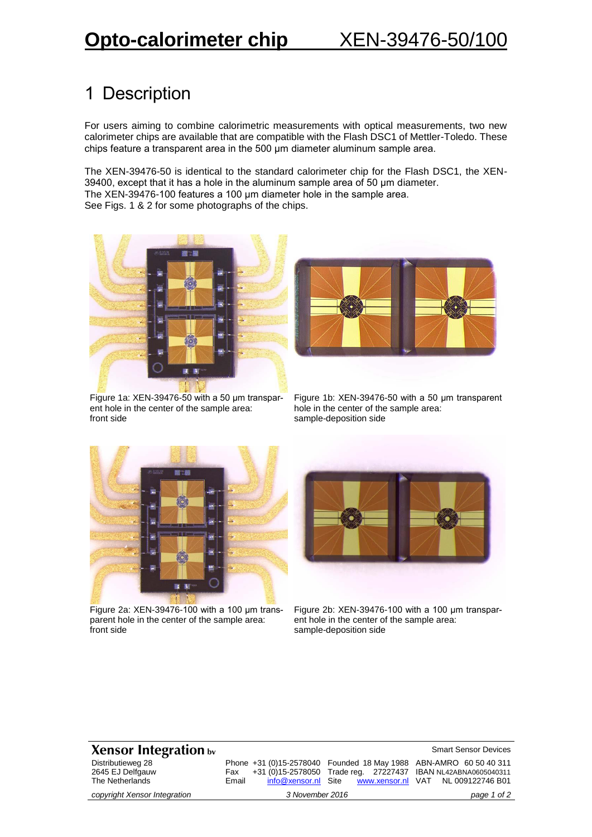## 1 Description

For users aiming to combine calorimetric measurements with optical measurements, two new calorimeter chips are available that are compatible with the Flash DSC1 of Mettler-Toledo. These chips feature a transparent area in the 500 μm diameter aluminum sample area.

The XEN-39476-50 is identical to the standard calorimeter chip for the Flash DSC1, the XEN-39400, except that it has a hole in the aluminum sample area of 50 µm diameter. The XEN-39476-100 features a 100 μm diameter hole in the sample area. See Figs. 1 & 2 for some photographs of the chips.



Figure 1a: XEN-39476-50 with a 50 μm transparent hole in the center of the sample area: front side



Figure 1b: XEN-39476-50 with a 50 μm transparent hole in the center of the sample area: sample-deposition side



Figure 2a: XEN-39476-100 with a 100 μm transparent hole in the center of the sample area: front side



Figure 2b: XEN-39476-100 with a 100 μm transparent hole in the center of the sample area: sample-deposition side

## **Xensor Integration bv**  $\bullet$  **Smart Sensor Devices**

Distributieweg 28 2645 EJ Delfgauw The Netherlands

*copyright Xensor Integration 3 November 2016 page 1 of 2*

## Phone +31 (0)15-2578040 Founded 18 May 1988 ABN-AMRO 60 50 40 311 Fax +31 (0)15-2578050 Trade reg. 27227437 IBAN NL42ABNA0605040311 Email [info@xensor.nl](mailto:info@xensor.nl) Site

www.xensor.nl VAT NL 009122746 B01